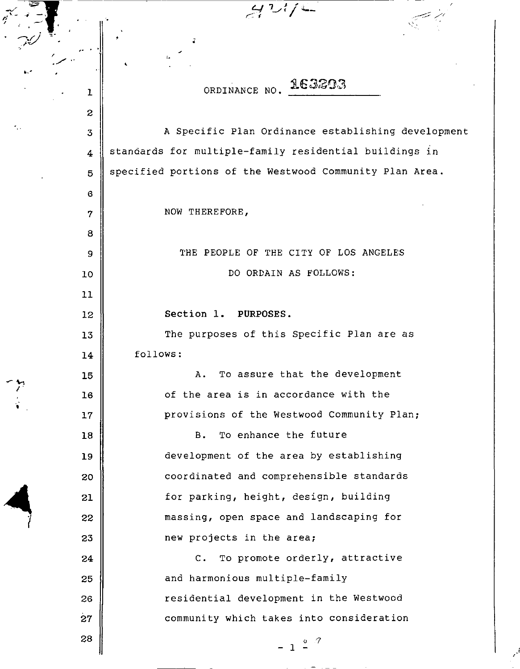ORDINANCE NO. 163203

ı

**<sup>1</sup>**' ' **4** *-"'I.\_\_* r: I

 $\overline{c}$ A Specific Plan Ordinance establishing development 3 standards for multiple-family residential buildings in  $\overline{4}$ specified portions of the Westwood Community Plan Area. 5 6 NOW THEREFORE, 7 8 THE PEOPLE OF THE CITY OF LOS ANGELES 9 DO ORDAIN AS FOLLOWS: 10 11 **Section 1. PURPOSES.**  12 The purposes of this Specific Plan are as 13 14 follows: A. To assure that the development 15 16 of the area is in accordance with the provisions of the Westwood Community Plan; 17 B. To enhance the future 18 development of the area by establishing 19 coordinated and comprehensible standards 20 for parking, height, design, building 21 massing, open space and landscaping for 22 23 new projects in the area; c. To promote orderly, attractive 24 25 and harmonious multiple-family 26 residential development in the Westwood 27 community which takes into consideration 28  $\mathfrak{o}^{\top}\mathcal{T}$ - 1 -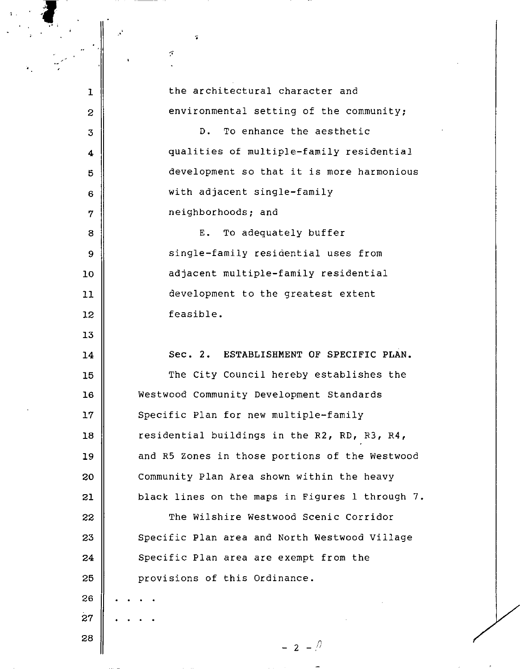1 the architectural character and  $2$   $\parallel$  environmental setting of the community; 3 **D.** To enhance the aesthetic 4 | qualities of multiple-family residential 5 development so that it is more harmonious 6 with adjacent single-family  $\eta$  || neighborhoods; and 8 B. To adequately buffer 9 | Single-family residential uses from 10 || adjacent multiple-family residential 11 development to the greatest extent 12 | feasible. 13 14 Sec. 2. ESTABLISHMENT OF SPECIFIC PLAN. 15 || The City Council hereby establishes the 16 Westwood Community Development Standards 17 || Specific Plan for new multiple-family 18 | residential buildings in the R2, RD, R3, R4, 19 and R5 zones in those portions of the Westwood 20 Community Plan Area shown within the heavy 21 | black lines on the maps in Figures 1 through 7. 22 | The Wilshire Westwood Scenic Corridor  $23$   $\parallel$  Specific Plan area and North Westwood Village  $24$   $\parallel$  Specific Plan area are exempt from the 25 **provisions of this Ordinance.** 26 27 28  $- 2 - \sqrt{2}$ 

**T** 

ŗ,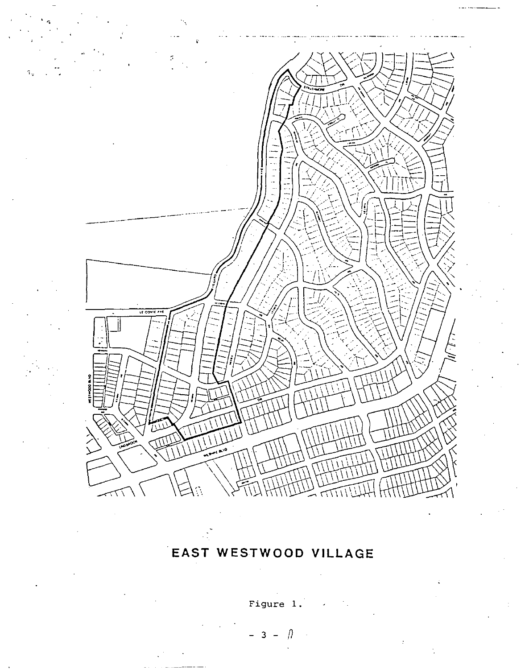

## EAST WESTWOOD VILLAGE

Figure 1.

$$
-3 - \mathbb{R}
$$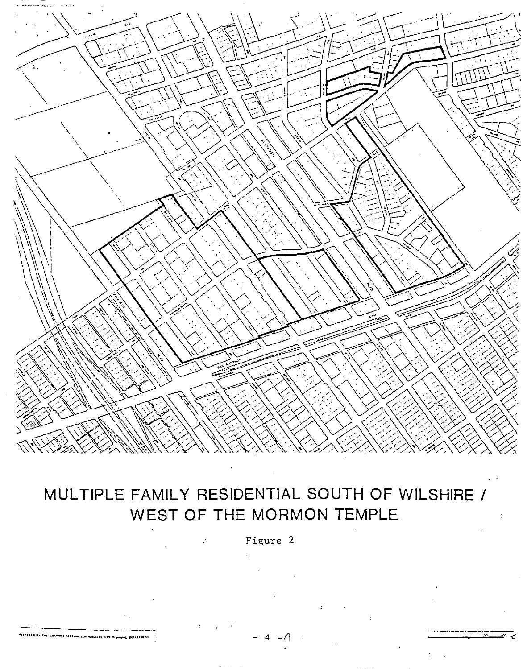

# MULTIPLE FAMILY RESIDENTIAL SOUTH OF WILSHIRE / WEST OF THE MORMON TEMPLE.

Figure 2

**MODELES** CITY PLANE

**CONFERENCE**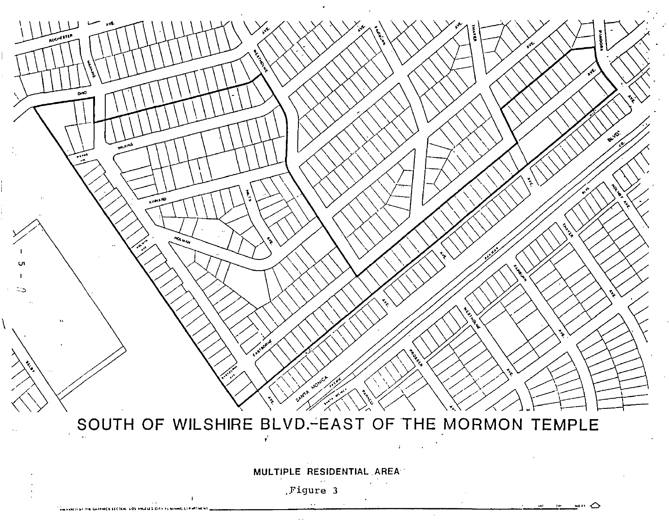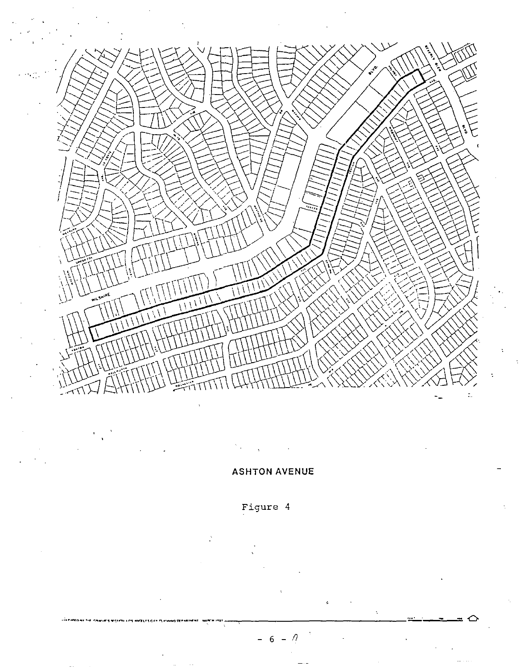

 $\ddot{\phantom{a}}$  $\ddot{\phantom{0}}$ 

#### **ASHTON AVENUE**

### Figure 4

П 6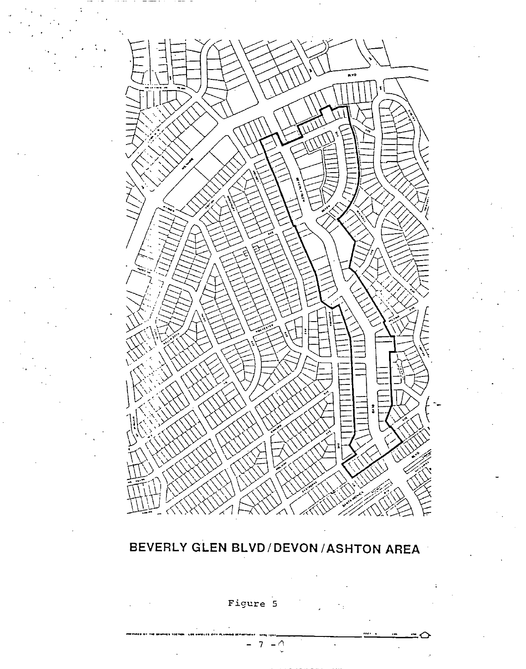

## BEVERLY GLEN BLVD/DEVON/ASHTON AREA

Figure 5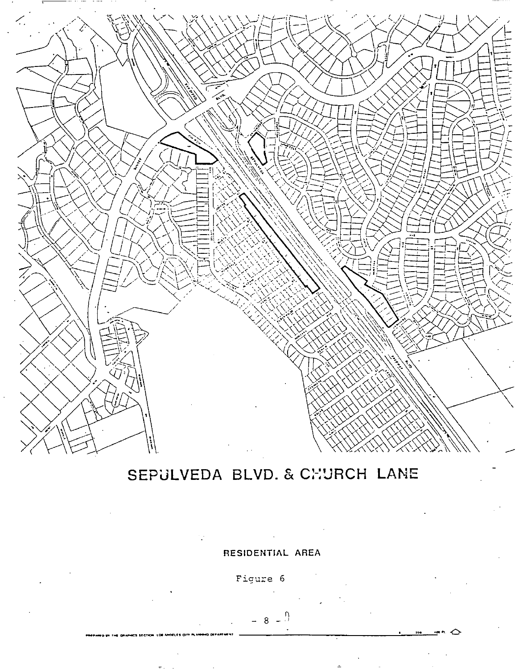

# SEPULVEDA BLVD. & CHURCH LANE

RESIDENTIAL AREA

Figure 6

#### $\Omega$  $-8$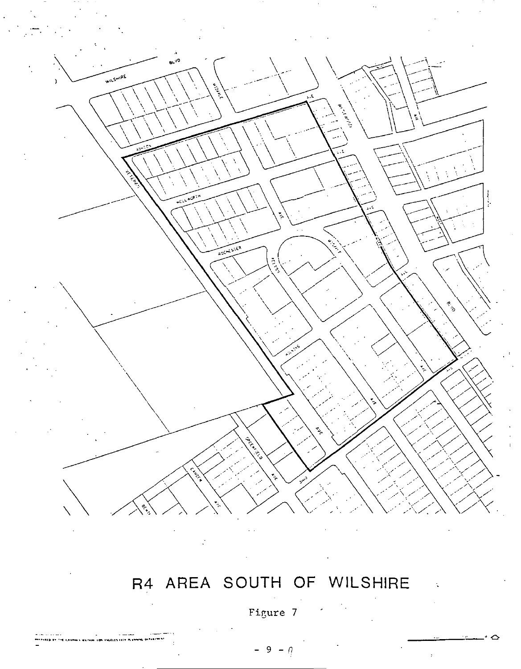

# R4 AREA SOUTH OF WILSHIRE

Figure 7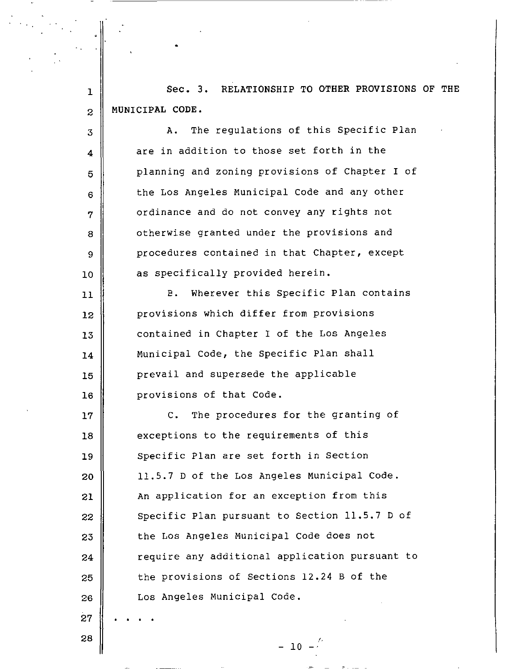1 Sec. 3. RELATIONSHIP TO OTHER PROVISIONS OF THE 2 MUNICIPAL CODE.

3 4 5 6 7 8 9 10  $11$ 12 13 14 15 16 17 18 19 20 21 22 23 24 25 26 27 A. The regulations of this Specific Plan are in addition to those set forth in the planning and zoning provisions of Chapter I of the Los Angeles Municipal Code and any other ordinance and do not convey any rights not otherwise granted under the provisions and procedures contained in that Chapter, except as specifically provided herein. E. Wherever this Specific Plan contains provisions which differ from provisions contained in Chapter I of the Los Angeles Municipal Code, the Specific Plan shall prevail and supersede the applicable provisions of that Code. c. The procedures for the granting of exceptions to the requirements of this Specific Plan are set forth in Section 11.5.7 D of the Los Angeles Municipal Code. An application for an exception from this Specific Plan pursuant to Section 11.5.7 D of the Los Angeles Municipal Code does not require any additional application pursuant to the provisions of Sections 12.24 B of the Los Angeles Municipal Code.

28

 $- 10 -$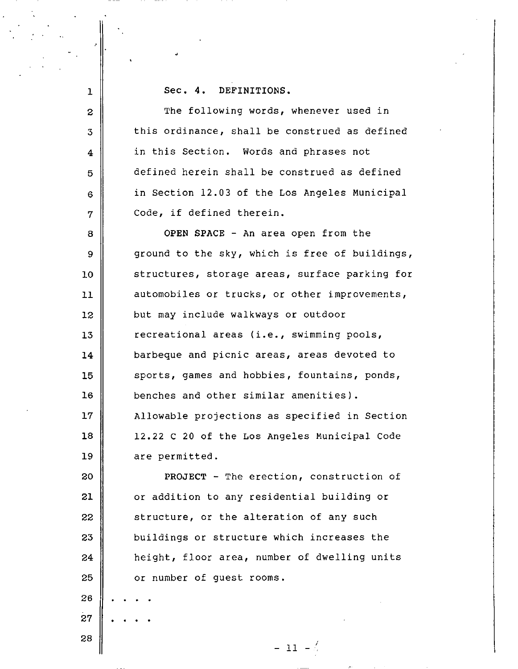**Sec. 4. DEFINITIONS.** 

2 The following words, whenever used in  $3 \parallel$  this ordinance, shall be construed as defined in this Section. Words and phrases not 5 defined herein shall be construed as defined 6 in Section 12.03 of the Los Angeles Municipal | Code, if defined therein.

**OPEN SPACE** - An area open from the  $9 \parallel$  ground to the sky, which is free of buildings, 10 structures, storage areas, surface parking for 11 automobiles or trucks, or other improvements, **but may include walkways or outdoor c**recreational areas (i.e., swimming pools, barbeque and picnic areas, areas devoted to 15 || sports, games and hobbies, fountains, ponds, benches and other similar amenities). 17 | Allowable projections as specified in Section 12.22 C 20 of the Los Angeles Municipal Code are permitted.

**PROJECT** - The erection, construction of or addition to any residential building or structure, or the alteration of any such  $\parallel$  buildings or structure which increases the **h**eight, floor area, number of dwelling units **Quart** or number of quest rooms.

- 11 - 4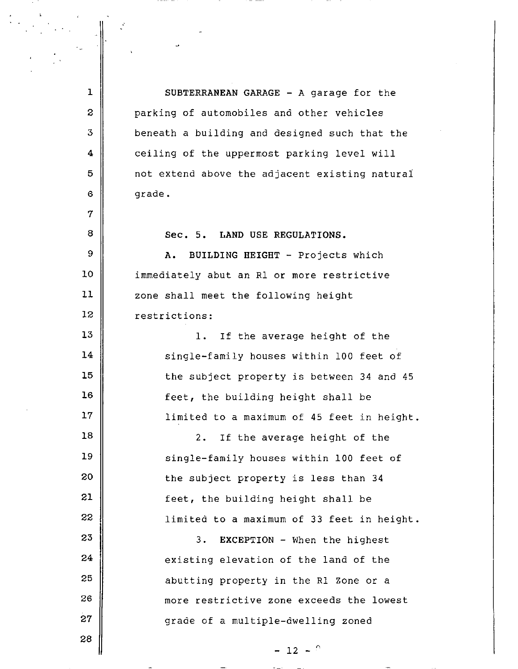1 | SUBTERRANEAN GARAGE - A garage for the 2 **parking of automobiles and other vehicles**  $3$  || beneath a building and designed such that the 4 ceiling of the uppermost parking level will  $5$   $\parallel$  not extend above the adjacent existing natural  $6 \parallel$  grade.

Sec. 5. LAND USE REGULATIONS.

A. BUILDING HEIGHT - Projects which 10 || immediately abut an R1 or more restrictive 11 zone shall meet the following height 12 restrictions:

 $13$  ||  $1.$  If the average height of the 14 | single-family houses within 100 feet of  $15$  the subject property is between 34 and 45  $16$   $\parallel$  feet, the building height shall be 17 | limited to a maximum of 45 feet in height.

 ||  $2.$  If the average height of the 19 | Single-family houses within 100 feet of  $\parallel$  the subject property is less than 34  $\parallel$  feet, the building height shall be |  $\vert$  1imited to a maximum of 33 feet in height.

  $\parallel$  3. EXCEPTION - When the highest existing elevation of the land of the **abutting property in the Rl Zone or a ||** more restrictive zone exceeds the lowest 27 grade of a multiple-dwelling zoned

 $- 12 - <sup>0</sup>$ 

28

7

8

9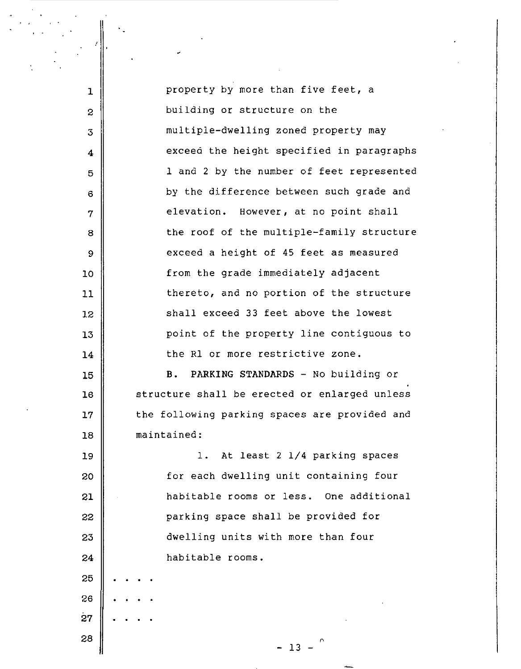| 1                | property by more than five feet, a            |
|------------------|-----------------------------------------------|
| $\boldsymbol{z}$ | building or structure on the                  |
| 3                | multiple-dwelling zoned property may          |
| 4                | exceed the height specified in paragraphs     |
| 5                | 1 and 2 by the number of feet represented     |
| 6                | by the difference between such grade and      |
| 7                | elevation. However, at no point shall         |
| 8                | the roof of the multiple-family structure     |
| 9                | exceed a height of 45 feet as measured        |
| 10               | from the grade immediately adjacent           |
| 11               | thereto, and no portion of the structure      |
| 12               | shall exceed 33 feet above the lowest         |
| 13               | point of the property line contiguous to      |
| 14               | the R1 or more restrictive zone.              |
| 15               | PARKING STANDARDS - No building or<br>в.      |
| 16               | structure shall be erected or enlarged unless |
| 17               | the following parking spaces are provided and |
| 18               | maintained:                                   |
| 19               | At least 2 1/4 parking spaces<br>$1$ .        |
| 20               | for each dwelling unit containing four        |
| 21               | habitable rooms or less.<br>One additional    |
| 22               | parking space shall be provided for           |
| 23               | dwelling units with more than four            |
| 24               | habitable rooms.                              |
| 25               |                                               |
| 26               |                                               |
| 27               |                                               |
| 28               | $-13$                                         |
|                  |                                               |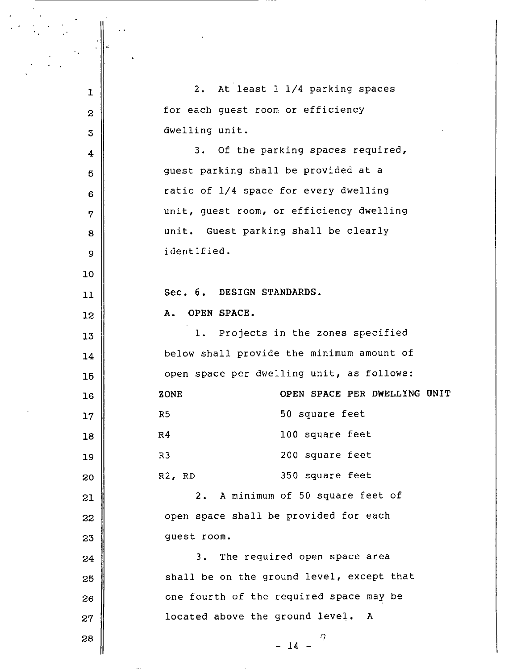| ı               | At least 1 1/4 parking spaces<br>2.         |
|-----------------|---------------------------------------------|
| $\mathbf{z}$    | for each guest room or efficiency           |
| 3               | dwelling unit.                              |
| 4               | 3. Of the parking spaces required,          |
| 5               | guest parking shall be provided at a        |
| 6               | ratio of 1/4 space for every dwelling       |
| 7               | unit, guest room, or efficiency dwelling    |
| 8               | unit. Guest parking shall be clearly        |
| 9               | identified.                                 |
| 10              |                                             |
| 11              | Sec. 6. DESIGN STANDARDS.                   |
| 12              | OPEN SPACE.<br>А.                           |
| 13              | 1. Projects in the zones specified          |
| 14              | below shall provide the minimum amount of   |
| 15              | open space per dwelling unit, as follows:   |
| 16              | OPEN SPACE PER DWELLING UNIT<br>ZONE        |
| 17 <sub>2</sub> | 50 square feet<br>R5                        |
| 18              | 100 square feet<br>R <sub>4</sub>           |
| 19              | 200 square feet<br>R3                       |
| 20              | 350 square feet<br>R2, RD                   |
| 21              | A minimum of 50 square feet of<br>$2 \cdot$ |
| 22              | open space shall be provided for each       |
| 23              | quest room.                                 |
| 24              | The required open space area<br>3.          |
| 25              | shall be on the ground level, except that   |
| 26              | one fourth of the required space may be     |
| 27              | located above the ground level. A           |
| 28              | $\eta$<br>$-14 -$                           |
|                 |                                             |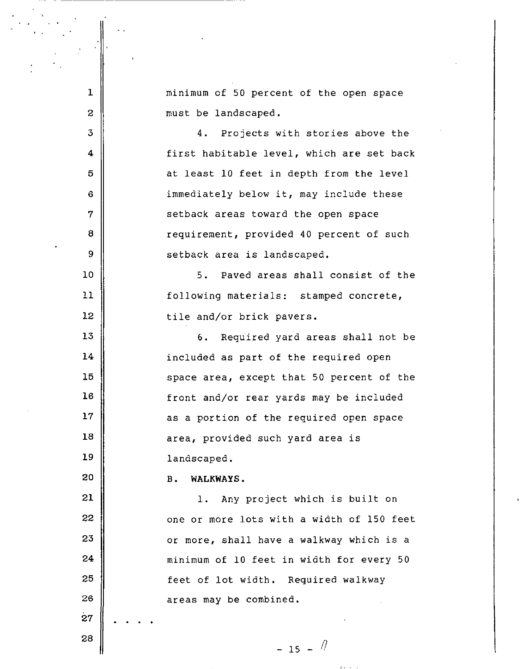**1**  2 3 4 5 6 7 8 9 10 11 12 13 14 15 16 17 18 19 20 21 22 23 24 25 26 . . . minimum of 50 percent of the open space must be landscaped. 4. Projects with stories above the first habitable level, which are set back at least 10 feet in depth from the level immediately below it, may include these setback areas toward the open space requirement, provided 40 percent of such setback area is landscaped. 5. Paved areas shall consist of the following materials: stamped concrete, tile and/or brick pavers. 6. Required yard areas shall not be included as part of the required open space area, except that 50 percent of the front and/or rear yards may be included as a portion of the required open space area, provided such yard area is landscaped. B. **WALKWAYS.**  1. Any project which is built on one or more lots with a width of 150 feet or more, shall have a walkway which is a minimum of 10 feet in width for every 50 feet of lot width. Required walkway areas may be combined.

 $-15 - 7$ 

28

27 .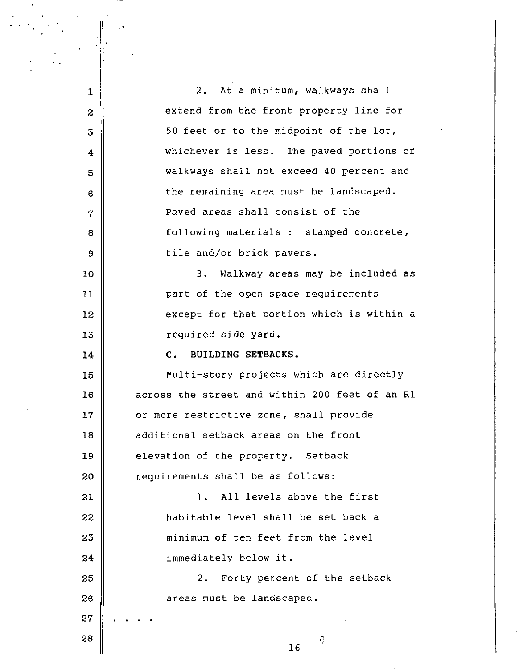**1**  2 3 **4**  5 6 7 8 9 10 2. At a minimum, walkways shall extend from the front property line for 50 feet or to the midpoint of the lot, whichever is less. The paved portions of walkways shall not exceed 40 percent and the remaining area must be landscaped. Paved areas shall consist of the following materials : stamped concrete, tile and/or brick pavers. 3. Walkway areas may be included as 11 **part of the open space requirements** 12 except for that portion which is within a 13 || required side yard. 14 C. BUILDING SETBACKS. 15 Multi-story projects which are directly **16** across the street and within 200 feet of an Rl 17 | or more restrictive zone, shall provide 18 **additional setback areas on the front** 19 **b** elevation of the property. Setback  $20$   $\parallel$  requirements shall be as follows: 21 1. All levels above the first 22 **habitable level shall be set back a** 23 **decia is a minimum of ten feet from the level** 24 immediately below it. 25 || 2. Forty percent of the setback 26 27 28 areas must be landscaped.  $- 16 - \frac{7}{2}$ 

.•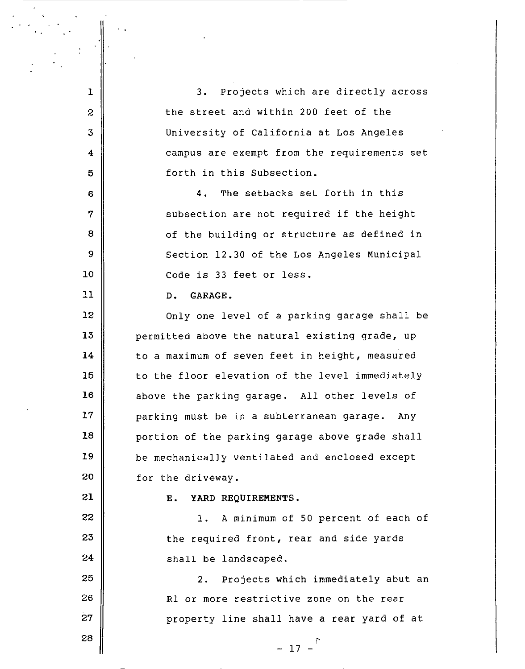1 || 3. Projects which are directly across  $2 \parallel$  the street and within 200 feet of the 3 University of California at Los Angeles 4 **4** campus are exempt from the requirements set 5 forth in this Subsection. 6 4. The setbacks set forth in this 7 || subsection are not required if the height 8 || cf the building or structure as defined in 9 Section 12.30 of the Los Angeles Municipal 10 || Code is 33 feet or less. 11 D. GARAGE. 12 | Only one level of a parking garage shall be 13  $\parallel$  permitted above the natural existing grade, up  $14$   $\parallel$  to a maximum of seven feet in height, measured 15 | to the floor elevation of the level immediately 16 || above the parking garage. All other levels of  $17$   $\parallel$  parking must be in a subterranean garage. Any  $18$   $\parallel$  portion of the parking garage above grade shall 19 | be mechanically ventilated and enclosed except  $20$   $\parallel$  for the driveway. 21 | E. YARD REQUIREMENTS.  $22$  ||  $1.$  A minimum of 50 percent of each of  $23$   $\parallel$  the required front, rear and side yards  $24$   $\parallel$  shall be landscaped. 25 26 27 28 2. Projects which immediately abut an Rl or more restrictive zone on the rear property line shall have a rear yard of at I'

- 17 -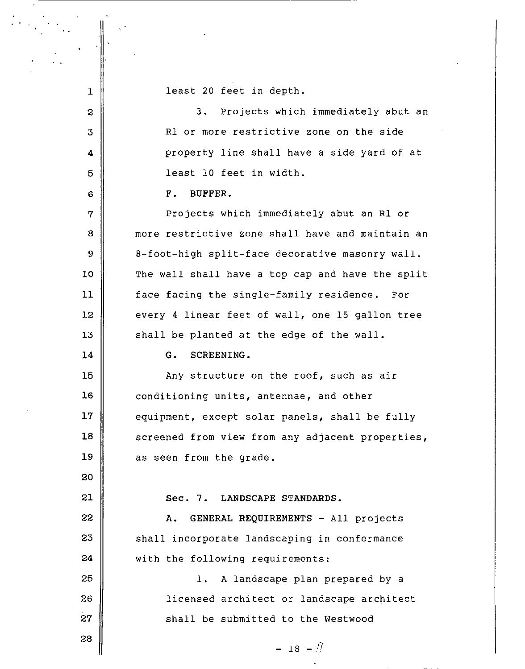1 2 least 20 feet in depth. 3. Projects which immediately abut an 3 Rl or more restrictive zone on the side 4 property line shall have a side yard of at 5 least 10 feet in width. 6 BUFFER. 7 | Projects which immediately abut an R1 or 8 more restrictive zone shall have and maintain an 9 | 8-foot-high split-face decorative masonry wall. 10 The wall shall have a top cap and have the split 11 | face facing the single-family residence. For 12 every 4 linear feet of wall, one 15 gallon tree 13 || shall be planted at the edge of the wall. 14 G. SCREENING. 15 || Any structure on the roof, such as air  $16$   $\parallel$  conditioning units, antennae, and other 17 equipment, except solar panels, shall be fully 18 | screened from view from any adjacent properties,  $19$  as seen from the grade. 20 21 Sec. 7. LANDSCAPE STANDARDS. 22 || A. GENERAL REQUIREMENTS - All projects  $23$   $\parallel$  shall incorporate landscaping in conformance 24 | with the following requirements: 25 || 1. A landscape plan prepared by a 26 licensed architect or landscape architect 27 || Shall be submitted to the Westwood 28

 $- 18 - 17$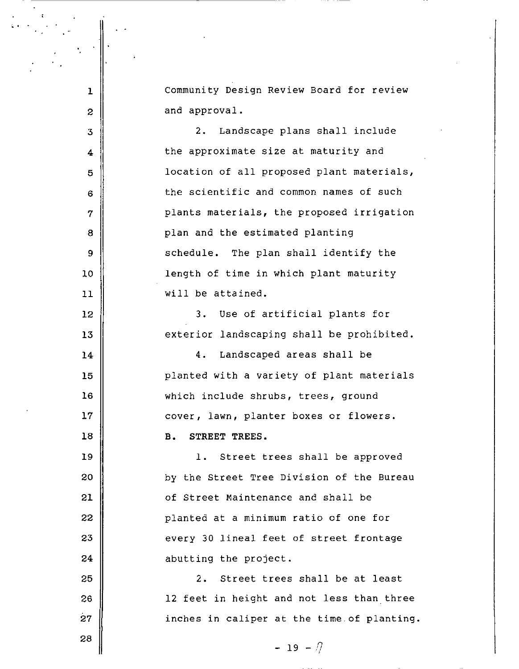Community Design Review Board for review and approval.

3 **4**  5 6 7 8 9 10 **11**  12 13 **14 15 16 17 18**  19 20 **21**  22 23 24 25 26 27 2. Landscape plans shall include the approximate size at maturity and location of all proposed plant materials, the scientific and common names of such plants materials, the proposed irrigation plan and the estimated planting schedule. The plan shall identify the length of time in which plant maturity will be attained. 3. Use of artificial plants for exterior landscaping shall be prohibited. 4. Landscaped areas shall be planted with a variety of plant materials which include shrubs, trees, ground cover, lawn, planter boxes or flowers. **B. STREET TREES.**  1. Street trees shall be approved by the Street Tree Division of the Bureau of Street Maintenance and shall be planted at a minimum ratio of one for every 30 lineal feet of street frontage abutting the project. 2. Street trees shall be at least 12 feet in height and not less than three inches in caliper at the time.of planting.

 $- 19 - \pi$ 

28

' .<br>. .

**1** 

2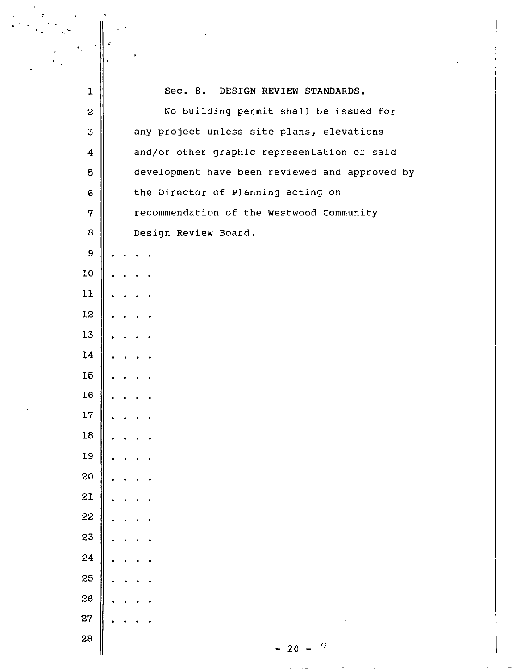|                  | ÷                                              |
|------------------|------------------------------------------------|
|                  |                                                |
| ı                | Sec. 8.<br>DESIGN REVIEW STANDARDS.            |
| $\mathbf 2$      | No building permit shall be issued for         |
| $\mathfrak{Z}$   | any project unless site plans, elevations      |
| $\boldsymbol{4}$ | and/or other graphic representation of said    |
| $\mathbf 5$      | development have been reviewed and approved by |
| $\mathbf 6$      | the Director of Planning acting on             |
| $\boldsymbol{7}$ | recommendation of the Westwood Community       |
| 8                | Design Review Board.                           |
| 9                |                                                |
| 10               |                                                |
| 11               |                                                |
| 12               |                                                |
| 13               |                                                |
| 14               |                                                |
| 15               |                                                |
| 16               |                                                |
| 17               |                                                |
| 18               |                                                |
| 19               |                                                |
| 20               |                                                |
| 21               |                                                |
| 22               |                                                |
| 23               |                                                |
| 24               |                                                |
| 25               |                                                |
| 26               |                                                |
| 27               |                                                |
| 28               | $-20 - 7$                                      |
|                  |                                                |